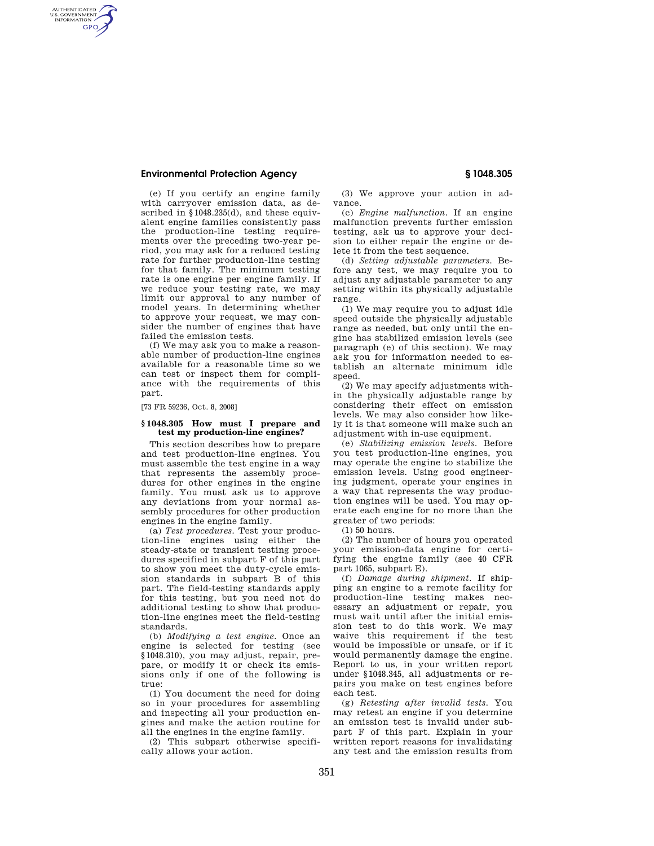## **Environmental Protection Agency § 1048.305**

AUTHENTICATED<br>U.S. GOVERNMENT<br>INFORMATION **GPO** 

> (e) If you certify an engine family with carryover emission data, as described in §1048.235(d), and these equivalent engine families consistently pass the production-line testing requirements over the preceding two-year period, you may ask for a reduced testing rate for further production-line testing for that family. The minimum testing rate is one engine per engine family. If we reduce your testing rate, we may limit our approval to any number of model years. In determining whether to approve your request, we may consider the number of engines that have failed the emission tests.

> (f) We may ask you to make a reasonable number of production-line engines available for a reasonable time so we can test or inspect them for compliance with the requirements of this part.

[73 FR 59236, Oct. 8, 2008]

# **§ 1048.305 How must I prepare and test my production-line engines?**

This section describes how to prepare and test production-line engines. You must assemble the test engine in a way that represents the assembly procedures for other engines in the engine family. You must ask us to approve any deviations from your normal assembly procedures for other production engines in the engine family.

(a) *Test procedures.* Test your production-line engines using either the steady-state or transient testing procedures specified in subpart F of this part to show you meet the duty-cycle emission standards in subpart B of this part. The field-testing standards apply for this testing, but you need not do additional testing to show that production-line engines meet the field-testing standards.

(b) *Modifying a test engine.* Once an engine is selected for testing (see §1048.310), you may adjust, repair, prepare, or modify it or check its emissions only if one of the following is true:

(1) You document the need for doing so in your procedures for assembling and inspecting all your production engines and make the action routine for all the engines in the engine family.

(2) This subpart otherwise specifically allows your action.

(3) We approve your action in advance.

(c) *Engine malfunction.* If an engine malfunction prevents further emission testing, ask us to approve your decision to either repair the engine or delete it from the test sequence.

(d) *Setting adjustable parameters.* Before any test, we may require you to adjust any adjustable parameter to any setting within its physically adjustable range.

(1) We may require you to adjust idle speed outside the physically adjustable range as needed, but only until the engine has stabilized emission levels (see paragraph (e) of this section). We may ask you for information needed to establish an alternate minimum idle speed.

(2) We may specify adjustments within the physically adjustable range by considering their effect on emission levels. We may also consider how likely it is that someone will make such an adjustment with in-use equipment.

(e) *Stabilizing emission levels.* Before you test production-line engines, you may operate the engine to stabilize the emission levels. Using good engineering judgment, operate your engines in a way that represents the way production engines will be used. You may operate each engine for no more than the greater of two periods:

(1) 50 hours.

(2) The number of hours you operated your emission-data engine for certifying the engine family (see 40 CFR part 1065, subpart E).

(f) *Damage during shipment.* If shipping an engine to a remote facility for production-line testing makes necessary an adjustment or repair, you must wait until after the initial emission test to do this work. We may waive this requirement if the test would be impossible or unsafe, or if it would permanently damage the engine. Report to us, in your written report under §1048.345, all adjustments or repairs you make on test engines before each test.

(g) *Retesting after invalid tests.* You may retest an engine if you determine an emission test is invalid under subpart F of this part. Explain in your written report reasons for invalidating any test and the emission results from